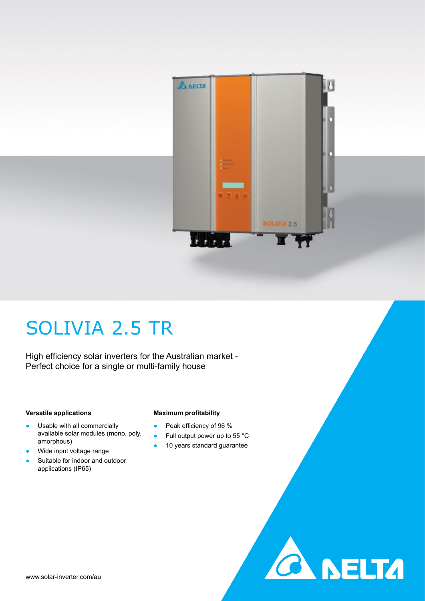

## SOLIVIA 2.5 TR

High efficiency solar inverters for the Australian market - Perfect choice for a single or multi-family house

#### **Versatile applications**

amorphous)

- **Maximum profitability**
- Peak efficiency of 96 %
- Full output power up to 55 °C
- 10 years standard guarantee

**A NELTA** 

Wide input voltage range

• Usable with all commercially

Suitable for indoor and outdoor applications (IP65)

available solar modules (mono, poly,